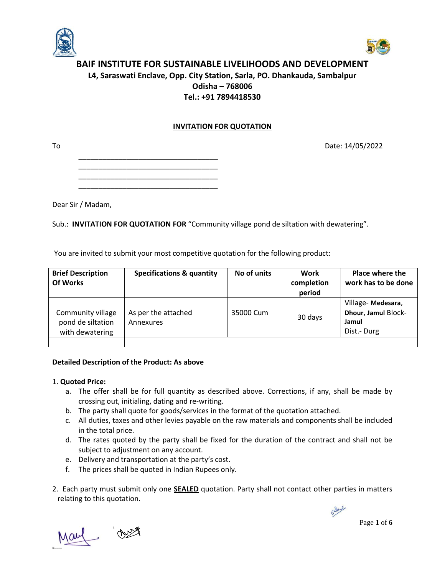



# **BAIF INSTITUTE FOR SUSTAINABLE LIVELIHOODS AND DEVELOPMENT L4, Saraswati Enclave, Opp. City Station, Sarla, PO. Dhankauda, Sambalpur Odisha – 768006 Tel.: +91 7894418530**

## **INVITATION FOR QUOTATION**

To Date: 14/05/2022

\_\_\_\_\_\_\_\_\_\_\_\_\_\_\_\_\_\_\_\_\_\_\_\_\_\_\_\_\_\_\_\_\_\_\_

Dear Sir / Madam,

Sub.: **INVITATION FOR QUOTATION FOR** "Community village pond de siltation with dewatering".

You are invited to submit your most competitive quotation for the following product:

| <b>Brief Description</b><br><b>Of Works</b>               | <b>Specifications &amp; quantity</b> | No of units | Work<br>completion<br>period | <b>Place where the</b><br>work has to be done                   |
|-----------------------------------------------------------|--------------------------------------|-------------|------------------------------|-----------------------------------------------------------------|
| Community village<br>pond de siltation<br>with dewatering | As per the attached<br>Annexures     | 35000 Cum   | 30 days                      | Village-Medesara,<br>Dhour, Jamul Block-<br>Jamul<br>Dist.-Durg |
|                                                           |                                      |             |                              |                                                                 |

### **Detailed Description of the Product: As above**

### 1. **Quoted Price:**

- a. The offer shall be for full quantity as described above. Corrections, if any, shall be made by crossing out, initialing, dating and re-writing.
- b. The party shall quote for goods/services in the format of the quotation attached.
- c. All duties, taxes and other levies payable on the raw materials and components shall be included in the total price.
- d. The rates quoted by the party shall be fixed for the duration of the contract and shall not be subject to adjustment on any account.
- e. Delivery and transportation at the party's cost.
- f. The prices shall be quoted in Indian Rupees only.
- 2. Each party must submit only one **SEALED** quotation. Party shall not contact other parties in matters relating to this quotation.



Page **1** of **6**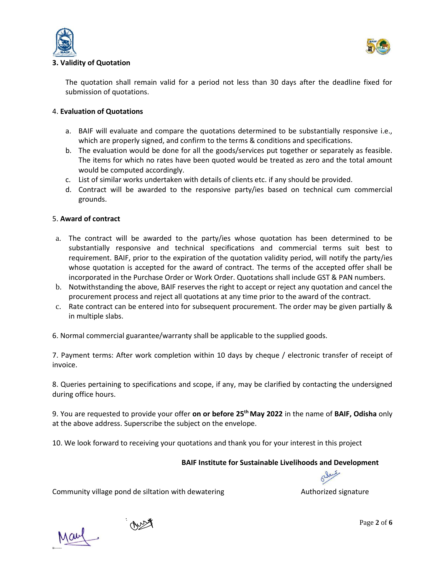



### **3. Validity of Quotation**

The quotation shall remain valid for a period not less than 30 days after the deadline fixed for submission of quotations.

### 4. **Evaluation of Quotations**

- a. BAIF will evaluate and compare the quotations determined to be substantially responsive i.e., which are properly signed, and confirm to the terms & conditions and specifications.
- b. The evaluation would be done for all the goods/services put together or separately as feasible. The items for which no rates have been quoted would be treated as zero and the total amount would be computed accordingly.
- c. List of similar works undertaken with details of clients etc. if any should be provided.
- d. Contract will be awarded to the responsive party/ies based on technical cum commercial grounds.

### 5. **Award of contract**

- a. The contract will be awarded to the party/ies whose quotation has been determined to be substantially responsive and technical specifications and commercial terms suit best to requirement. BAIF, prior to the expiration of the quotation validity period, will notify the party/ies whose quotation is accepted for the award of contract. The terms of the accepted offer shall be incorporated in the Purchase Order or Work Order. Quotations shall include GST & PAN numbers.
- b. Notwithstanding the above, BAIF reserves the right to accept or reject any quotation and cancel the procurement process and reject all quotations at any time prior to the award of the contract.
- c. Rate contract can be entered into for subsequent procurement. The order may be given partially & in multiple slabs.

6. Normal commercial guarantee/warranty shall be applicable to the supplied goods.

7. Payment terms: After work completion within 10 days by cheque / electronic transfer of receipt of invoice.

8. Queries pertaining to specifications and scope, if any, may be clarified by contacting the undersigned during office hours.

9. You are requested to provide your offer **on or before 25 th May 2022** in the name of **BAIF, Odisha** only at the above address. Superscribe the subject on the envelope.

10. We look forward to receiving your quotations and thank you for your interest in this project

#### **BAIF Institute for Sustainable Livelihoods and Development**

Community village pond de siltation with dewatering Theorem Community village pond de siltation with dewatering

 $\mathscr{A}$ 

May

Page **2** of **6**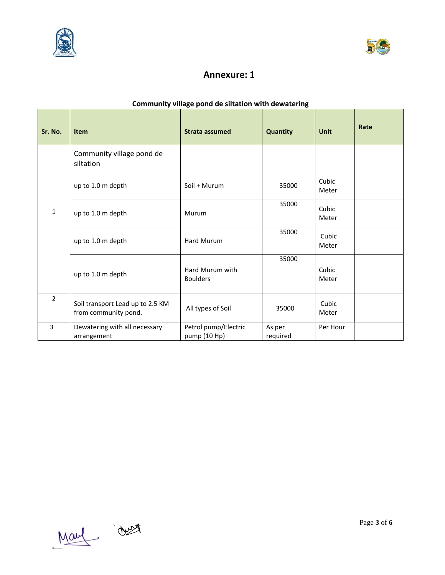



# **Annexure: 1**

# **Community village pond de siltation with dewatering**

| Sr. No.        | <b>Item</b>                                              | Strata assumed                       | Quantity           | <b>Unit</b>    | Rate |
|----------------|----------------------------------------------------------|--------------------------------------|--------------------|----------------|------|
| 1              | Community village pond de<br>siltation                   |                                      |                    |                |      |
|                | up to 1.0 m depth                                        | Soil + Murum                         | 35000              | Cubic<br>Meter |      |
|                | up to 1.0 m depth                                        | Murum                                | 35000              | Cubic<br>Meter |      |
|                | up to 1.0 m depth                                        | Hard Murum                           | 35000              | Cubic<br>Meter |      |
|                | up to 1.0 m depth                                        | Hard Murum with<br><b>Boulders</b>   | 35000              | Cubic<br>Meter |      |
| $\overline{2}$ | Soil transport Lead up to 2.5 KM<br>from community pond. | All types of Soil                    | 35000              | Cubic<br>Meter |      |
| $\overline{3}$ | Dewatering with all necessary<br>arrangement             | Petrol pump/Electric<br>pump (10 Hp) | As per<br>required | Per Hour       |      |



Page **3** of **6**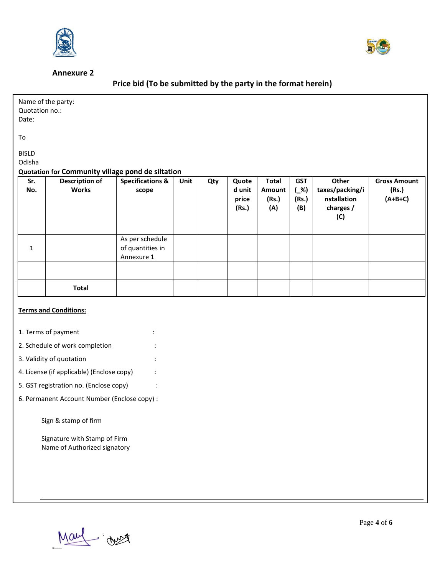

#### **Annexure 2**



# **Price bid (To be submitted by the party in the format herein)**

| Quotation no.:<br>Date:              | Name of the party:                                                                         |                                                   |      |     |                                   |                                        |                                      |                                                                    |                                           |
|--------------------------------------|--------------------------------------------------------------------------------------------|---------------------------------------------------|------|-----|-----------------------------------|----------------------------------------|--------------------------------------|--------------------------------------------------------------------|-------------------------------------------|
| To                                   |                                                                                            |                                                   |      |     |                                   |                                        |                                      |                                                                    |                                           |
| <b>BISLD</b><br>Odisha<br>Sr.<br>No. | Quotation for Community village pond de siltation<br><b>Description of</b><br><b>Works</b> | <b>Specifications &amp;</b><br>scope              | Unit | Qty | Quote<br>d unit<br>price<br>(Rs.) | <b>Total</b><br>Amount<br>(Rs.)<br>(A) | <b>GST</b><br>$($ %)<br>(Rs.)<br>(B) | <b>Other</b><br>taxes/packing/i<br>nstallation<br>charges /<br>(C) | <b>Gross Amount</b><br>(Rs.)<br>$(A+B+C)$ |
| $\mathbf{1}$                         |                                                                                            | As per schedule<br>of quantities in<br>Annexure 1 |      |     |                                   |                                        |                                      |                                                                    |                                           |

#### **Terms and Conditions:**

- 1. Terms of payment in the state of  $\sim$  1.
- 2. Schedule of work completion :

**Total**

- 3. Validity of quotation :
- 4. License (if applicable) (Enclose copy) :
- 5. GST registration no. (Enclose copy) :
- 6. Permanent Account Number (Enclose copy) :

Sign & stamp of firm

Signature with Stamp of Firm Name of Authorized signatory

May : Just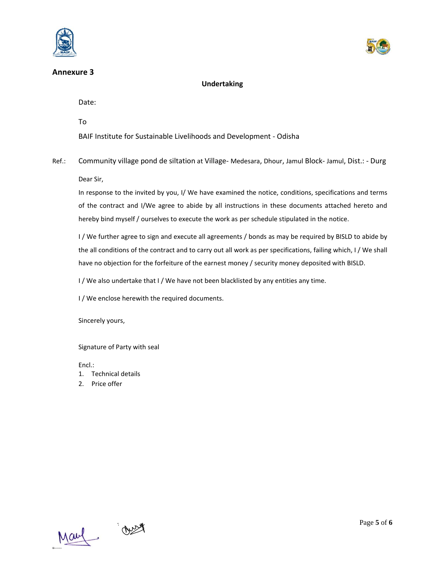





## **Undertaking**

Date:

To

BAIF Institute for Sustainable Livelihoods and Development - Odisha

Ref.: Community village pond de siltation at Village- Medesara, Dhour, Jamul Block- Jamul, Dist.: - Durg Dear Sir,

In response to the invited by you, I/ We have examined the notice, conditions, specifications and terms of the contract and I/We agree to abide by all instructions in these documents attached hereto and hereby bind myself / ourselves to execute the work as per schedule stipulated in the notice.

I / We further agree to sign and execute all agreements / bonds as may be required by BISLD to abide by the all conditions of the contract and to carry out all work as per specifications, failing which, I / We shall have no objection for the forfeiture of the earnest money / security money deposited with BISLD.

I / We also undertake that I / We have not been blacklisted by any entities any time.

I / We enclose herewith the required documents.

Sincerely yours,

Signature of Party with seal

Encl.:

- 1. Technical details
- 2. Price offer



Page **5** of **6**